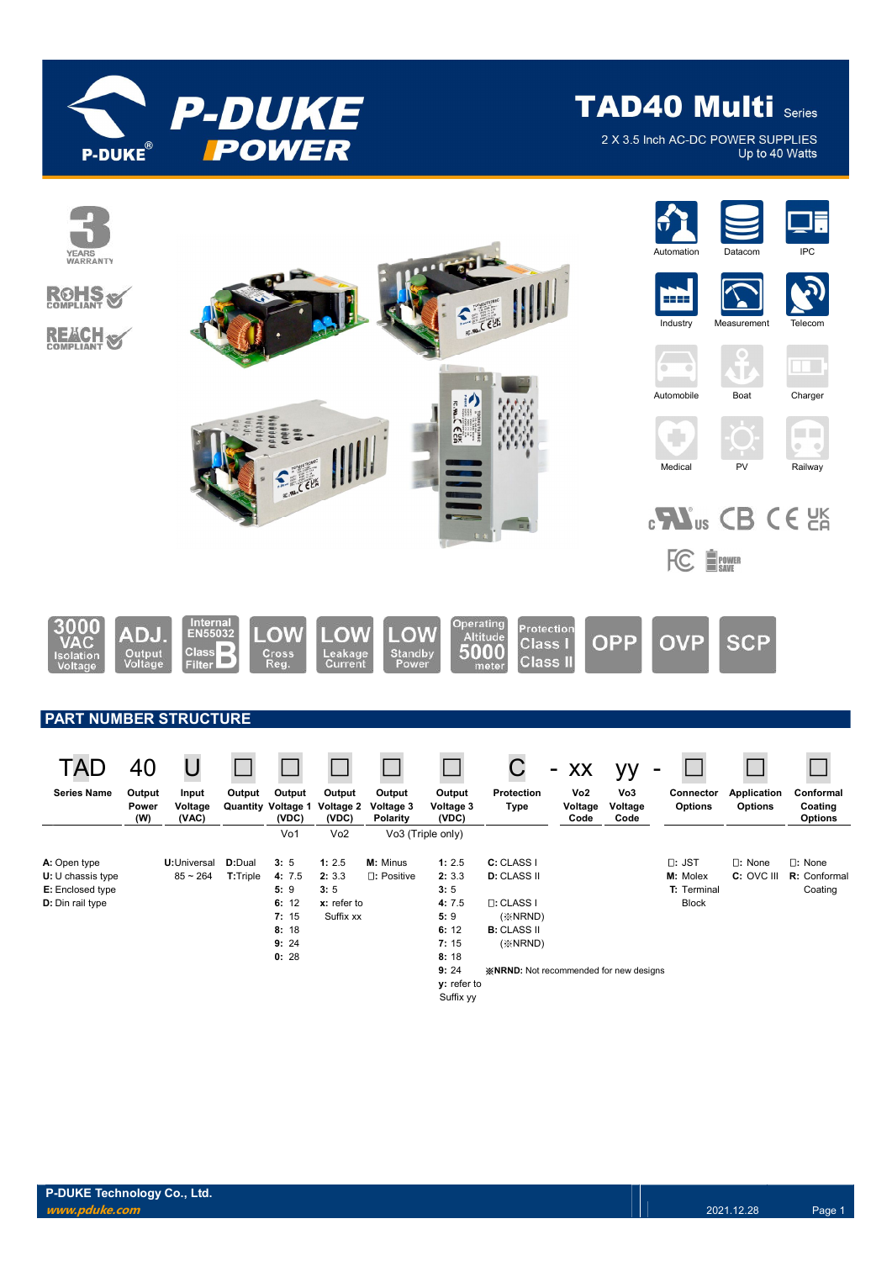

2 X 3.5 Inch AC-DC POWER SUPPLIES Up to 40 Watts

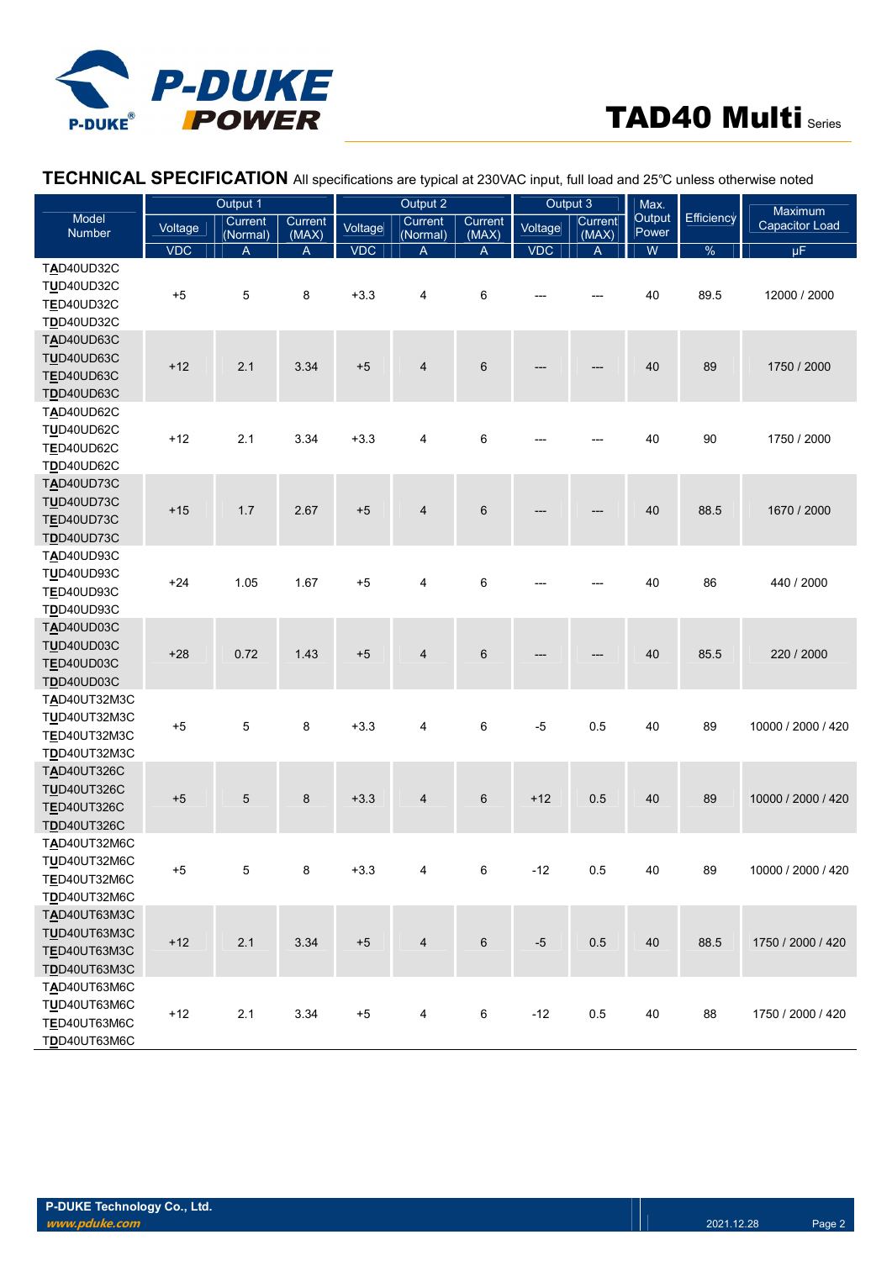

#### Model Number Output 1 and 1 and 1 and 1 output 2 and 1 output 3 Max. **Output** Power Efficiency Maximum<br>Capacitor Load Voltage Current Current Voltage Current Current Voltage Current Current Current Currency Capacitor Load (Normal) Current<br>(MAX) Voltage Current (Normal) Current<br>(MAX) Voltage Current (MAX) VDC | A | A || VDC | A || VDC | A || W || % || μF TAD40UD32C TUD40UD32C TED40UD32C TDD40UD32C +5 5 8 +3.3 4 6 --- --- 40 89.5 12000 / 2000 TAD40UD63C TUD40UD63C **TED40UD63C** TDD40UD63C +12 2.1 3.34 +5 4 6 --- --- 40 89 1750 / 2000 TAD40UD62C TUD40UD62C **TED40UD62C** TDD40UD62C +12 2.1 3.34 +3.3 4 6 --- --- 40 90 1750 / 2000 TAD40UD73C TUD40UD73C **TED40UD73C** TDD40UD73C +15 1.7 2.67 +5 4 6 --- --- 40 88.5 1670 / 2000 TAD40UD93C TUD40UD93C **TED40UD93C** TDD40UD93C +24 1.05 1.67 +5 4 6 --- --- 40 86 440 / 2000 TAD40UD03C TUD40UD03C TED40UD03C TDD40UD03C +28 0.72 1.43 +5 4 6 --- --- 40 85.5 220 / 2000 TAD40UT32M3C TUD40UT32M3C TED40UT32M3C TDD40UT32M3C +5 5 8 +3.3 4 6 -5 0.5 40 89 10000 / 2000 / 420 TAD40UT326C **TUD40UT326C** TED40UT326C TDD40UT326C +5 5 8 +3.3 4 6 +12 0.5 40 89 10000 / 2000 / 420 TAD40UT32M6C TUD40UT32M6C TED40UT32M6C **TDD40UT32M6C** +5 5 8 +3.3 4 6 -12 0.5 40 89 10000 / 2000 / 420 TAD40UT63M3C TUD40UT63M3C TED40UT63M3C TDD40UT63M3C +12 2.1 3.34 +5 4 6 -5 0.5 40 88.5 1750 / 2000 / 420 TAD40UT63M6C TUD40UT63M6C TED40UT63M6C TDD40UT63M6C +12 2.1 3.34 +5 4 6 -12 0.5 40 88 1750 / 2000 / 420

### TECHNICAL SPECIFICATION All specifications are typical at 230VAC input, full load and 25℃ unless otherwise noted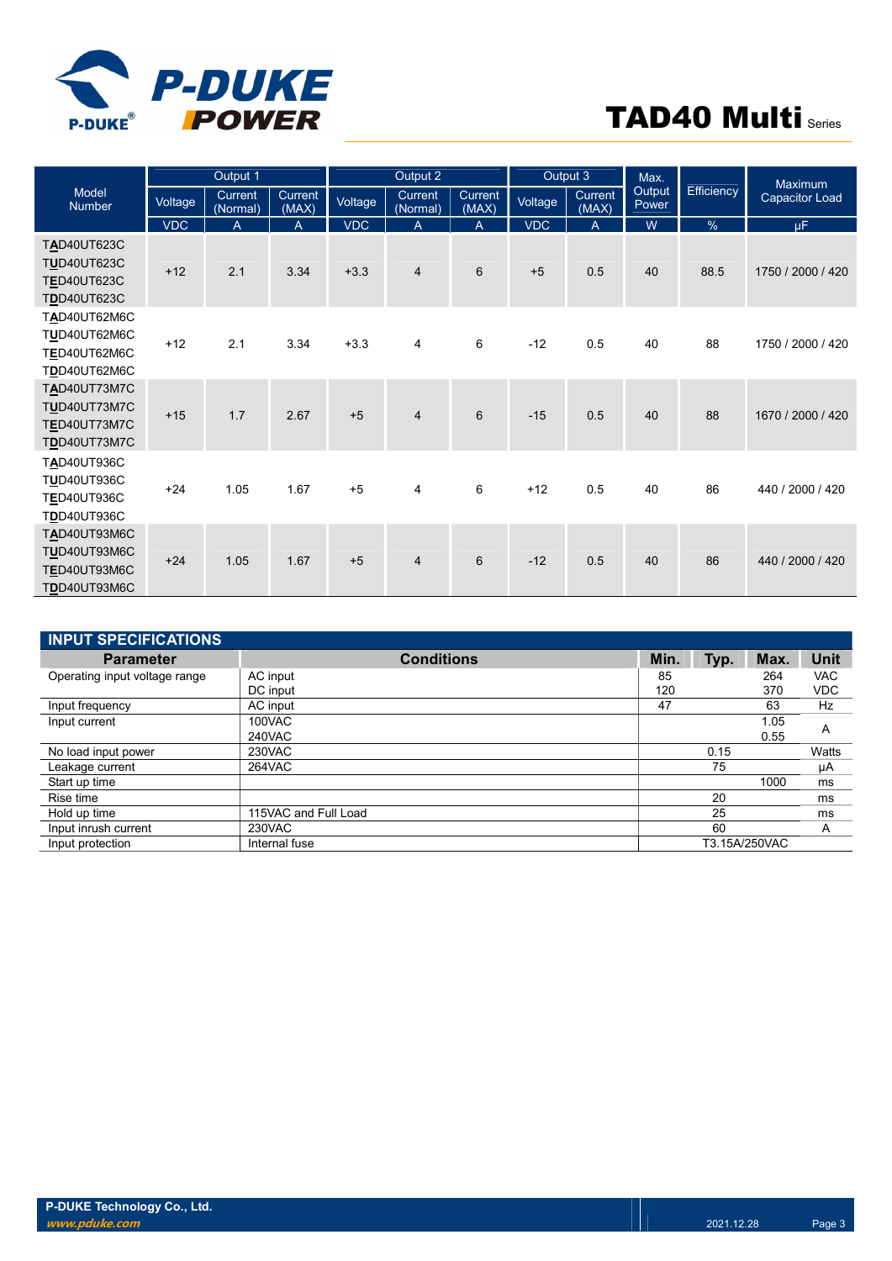

| Output 1                                                                      |            |                            |                  | Output 2<br>Output 3<br>Max. |                     |                  | Maximum    |                  |                        |               |                       |
|-------------------------------------------------------------------------------|------------|----------------------------|------------------|------------------------------|---------------------|------------------|------------|------------------|------------------------|---------------|-----------------------|
| Model<br><b>Number</b>                                                        | Voltage    | <b>Current</b><br>(Normal) | Current<br>(MAX) | Voltage                      | Current<br>(Normal) | Current<br>(MAX) | Voltage    | Current<br>(MAX) | <b>Output</b><br>Power | Efficiency    | <b>Capacitor Load</b> |
|                                                                               | <b>VDC</b> | A                          | A                | <b>VDC</b>                   | $\overline{A}$      | A                | <b>VDC</b> | A                | W                      | $\frac{0}{0}$ | $\mu$ F               |
| <b>TAD40UT623C</b><br><b>TUD40UT623C</b><br>TED40UT623C<br><b>TDD40UT623C</b> | $+12$      | 2.1                        | 3.34             | $+3.3$                       | $\overline{4}$      | 6                | $+5$       | 0.5              | 40                     | 88.5          | 1750 / 2000 / 420     |
| TAD40UT62M6C<br>TUD40UT62M6C<br>TED40UT62M6C<br>TDD40UT62M6C                  | $+12$      | 2.1                        | 3.34             | $+3.3$                       | 4                   | 6                | $-12$      | 0.5              | 40                     | 88            | 1750 / 2000 / 420     |
| <b>TAD40UT73M7C</b><br><b>TUD40UT73M7C</b><br>TED40UT73M7C<br>TDD40UT73M7C    | $+15$      | 1.7                        | 2.67             | $+5$                         | $\overline{4}$      | $6\phantom{1}$   | $-15$      | 0.5              | 40                     | 88            | 1670 / 2000 / 420     |
| <b>TAD40UT936C</b><br>TUD40UT936C<br>TED40UT936C<br><b>TDD40UT936C</b>        | $+24$      | 1.05                       | 1.67             | $+5$                         | 4                   | 6                | $+12$      | 0.5              | 40                     | 86            | 440 / 2000 / 420      |
| TAD40UT93M6C<br>TUD40UT93M6C<br>TED40UT93M6C<br>TDD40UT93M6C                  | $+24$      | 1.05                       | 1.67             | $+5$                         | 4                   | $6\phantom{1}$   | $-12$      | 0.5              | 40                     | 86            | 440 / 2000 / 420      |

| <b>INPUT SPECIFICATIONS</b>   |                      |      |      |               |            |
|-------------------------------|----------------------|------|------|---------------|------------|
| <b>Parameter</b>              | <b>Conditions</b>    | Min. | Typ. | Max.          | Unit       |
| Operating input voltage range | AC input             | 85   |      | 264           | VAC        |
|                               | DC input             | 120  |      | 370           | <b>VDC</b> |
| Input frequency               | AC input             | 47   |      | 63            | Hz         |
| Input current                 | 100VAC               |      |      | 1.05          | A          |
|                               | <b>240VAC</b>        |      |      | 0.55          |            |
| No load input power           | 230VAC               |      | 0.15 |               | Watts      |
| Leakage current               | 264VAC               |      | 75   |               | μA         |
| Start up time                 |                      |      |      | 1000          | ms         |
| Rise time                     |                      |      | 20   |               | ms         |
| Hold up time                  | 115VAC and Full Load |      | 25   |               | ms         |
| Input inrush current          | 230VAC               |      | 60   |               | A          |
| Input protection              | Internal fuse        |      |      | T3.15A/250VAC |            |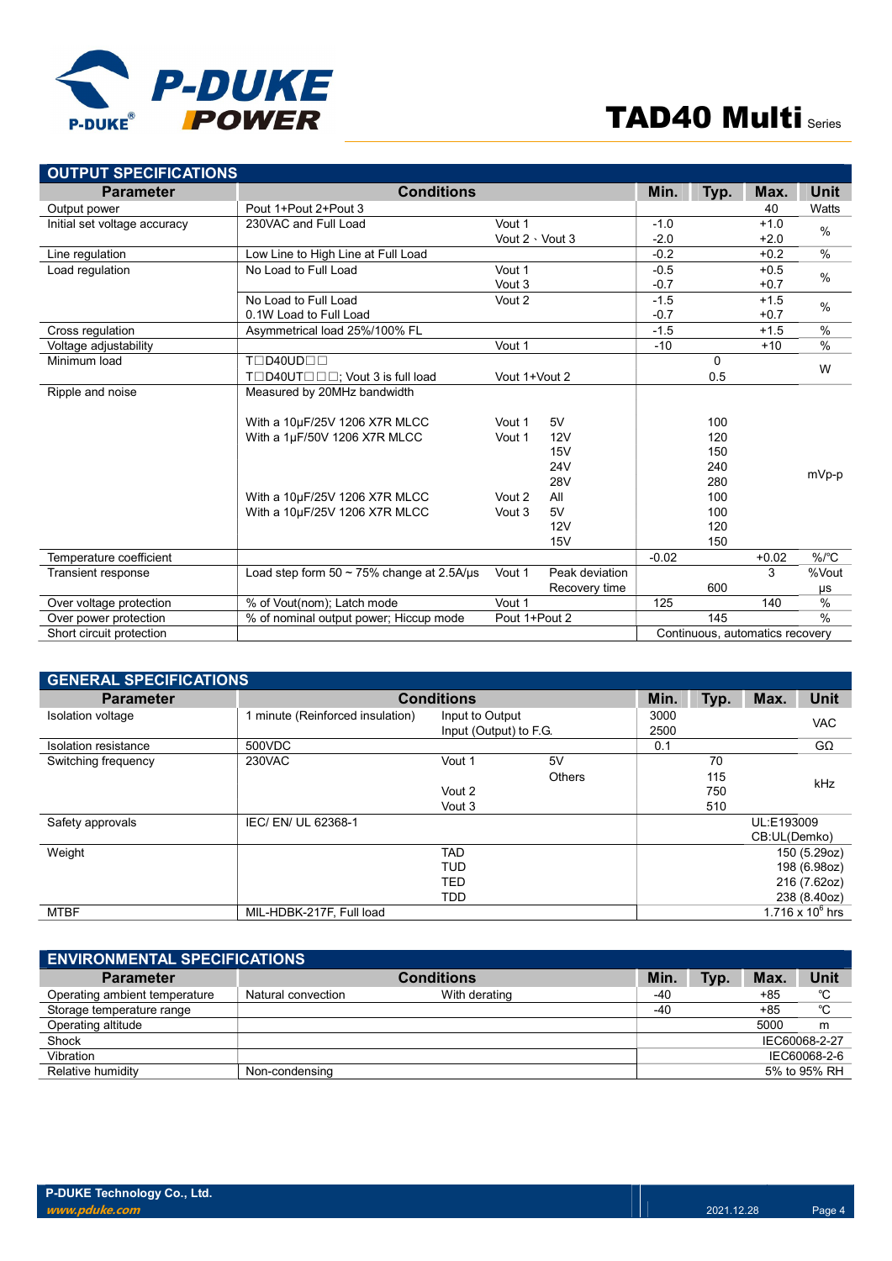

| <b>OUTPUT SPECIFICATIONS</b> |                                                 |                       |                |         |          |                                 |               |
|------------------------------|-------------------------------------------------|-----------------------|----------------|---------|----------|---------------------------------|---------------|
| <b>Parameter</b>             | <b>Conditions</b>                               |                       |                | Min.    | Typ.     | Max.                            | <b>Unit</b>   |
| Output power                 | Pout 1+Pout 2+Pout 3                            |                       |                |         |          | 40                              | Watts         |
| Initial set voltage accuracy | 230VAC and Full Load                            | Vout 1                |                | $-1.0$  |          | $+1.0$                          | $\frac{0}{0}$ |
|                              |                                                 | Vout $2 \cdot$ Vout 3 |                | $-2.0$  |          | $+2.0$                          |               |
| Line regulation              | Low Line to High Line at Full Load              |                       |                | $-0.2$  |          | $+0.2$                          | $\frac{0}{0}$ |
| Load regulation              | No Load to Full Load                            | Vout 1                |                | $-0.5$  |          | $+0.5$                          | $\frac{0}{0}$ |
|                              |                                                 | Vout 3                |                | $-0.7$  |          | $+0.7$                          |               |
|                              | No Load to Full Load                            | Vout 2                |                | $-1.5$  |          | $+1.5$                          | %             |
|                              | 0.1W Load to Full Load                          |                       |                | $-0.7$  |          | $+0.7$                          |               |
| Cross regulation             | Asymmetrical load 25%/100% FL                   |                       |                | $-1.5$  |          | $+1.5$                          | $\frac{0}{0}$ |
| Voltage adjustability        |                                                 | Vout 1                |                | $-10$   |          | $+10$                           | %             |
| Minimum load                 | TOD40UDOO                                       |                       |                |         | $\Omega$ |                                 | W             |
|                              | T□D40UT□□□; Vout 3 is full load                 | Vout 1+Vout 2         |                |         | 0.5      |                                 |               |
| Ripple and noise             | Measured by 20MHz bandwidth                     |                       |                |         |          |                                 |               |
|                              | With a 10µF/25V 1206 X7R MLCC                   | Vout 1                | 5V             |         | 100      |                                 |               |
|                              | With a 1µF/50V 1206 X7R MLCC                    | Vout 1                | 12V            |         | 120      |                                 |               |
|                              |                                                 |                       | 15V            |         | 150      |                                 |               |
|                              |                                                 |                       | <b>24V</b>     |         | 240      |                                 | mVp-p         |
|                              |                                                 |                       | <b>28V</b>     |         | 280      |                                 |               |
|                              | With a 10µF/25V 1206 X7R MLCC                   | Vout 2                | All            |         | 100      |                                 |               |
|                              | With a 10µF/25V 1206 X7R MLCC                   | Vout 3                | 5V             |         | 100      |                                 |               |
|                              |                                                 |                       | 12V            |         | 120      |                                 |               |
|                              |                                                 |                       | 15V            |         | 150      |                                 |               |
| Temperature coefficient      |                                                 |                       |                | $-0.02$ |          | $+0.02$                         | $%$ $C$       |
| <b>Transient response</b>    | Load step form $50 \sim 75\%$ change at 2.5A/us | Vout 1                | Peak deviation |         |          | 3                               | %Vout         |
|                              |                                                 |                       | Recovery time  |         | 600      |                                 | μs            |
| Over voltage protection      | % of Vout(nom); Latch mode                      | Vout 1                |                | 125     |          | 140                             | %             |
| Over power protection        | % of nominal output power; Hiccup mode          | Pout 1+Pout 2         |                |         | 145      |                                 | $\frac{0}{0}$ |
| Short circuit protection     |                                                 |                       |                |         |          | Continuous, automatics recovery |               |

| <b>GENERAL SPECIFICATIONS</b> |                                  |                                               |                     |                                                              |                         |                            |                    |
|-------------------------------|----------------------------------|-----------------------------------------------|---------------------|--------------------------------------------------------------|-------------------------|----------------------------|--------------------|
| <b>Parameter</b>              |                                  | <b>Conditions</b>                             |                     |                                                              |                         |                            | <b>Unit</b>        |
| Isolation voltage             | 1 minute (Reinforced insulation) | Input to Output<br>Input (Output) to F.G.     | 3000<br>2500        |                                                              |                         | <b>VAC</b>                 |                    |
| Isolation resistance          | 500VDC                           |                                               |                     | 0.1                                                          |                         |                            | $G\Omega$          |
| Switching frequency           | 230VAC                           | Vout 1<br>Vout 2<br>Vout 3                    | 5V<br><b>Others</b> |                                                              | 70<br>115<br>750<br>510 |                            | kHz                |
| Safety approvals              | IEC/ EN/ UL 62368-1              |                                               |                     |                                                              |                         | UL:E193009<br>CB:UL(Demko) |                    |
| Weight                        |                                  | <b>TAD</b><br><b>TUD</b><br>TED<br><b>TDD</b> |                     | 150 (5.29oz)<br>198 (6.98oz)<br>216 (7.62oz)<br>238 (8.40oz) |                         |                            |                    |
| <b>MTBF</b>                   | MIL-HDBK-217F, Full load         |                                               |                     |                                                              |                         |                            | 1.716 x $10^6$ hrs |

| <b>ENVIRONMENTAL SPECIFICATIONS</b> |                    |                   |      |      |       |               |
|-------------------------------------|--------------------|-------------------|------|------|-------|---------------|
| <b>Parameter</b>                    |                    | <b>Conditions</b> | Min. | Typ. | Max.  | Unit          |
| Operating ambient temperature       | Natural convection | With derating     | -40  |      | $+85$ | °C            |
| Storage temperature range           |                    |                   | -40  |      | $+85$ | °C            |
| Operating altitude                  |                    |                   |      |      | 5000  | m             |
| Shock                               |                    |                   |      |      |       | IEC60068-2-27 |
| Vibration                           |                    |                   |      |      |       | IEC60068-2-6  |
| Relative humidity                   | Non-condensing     |                   |      |      |       | 5% to 95% RH  |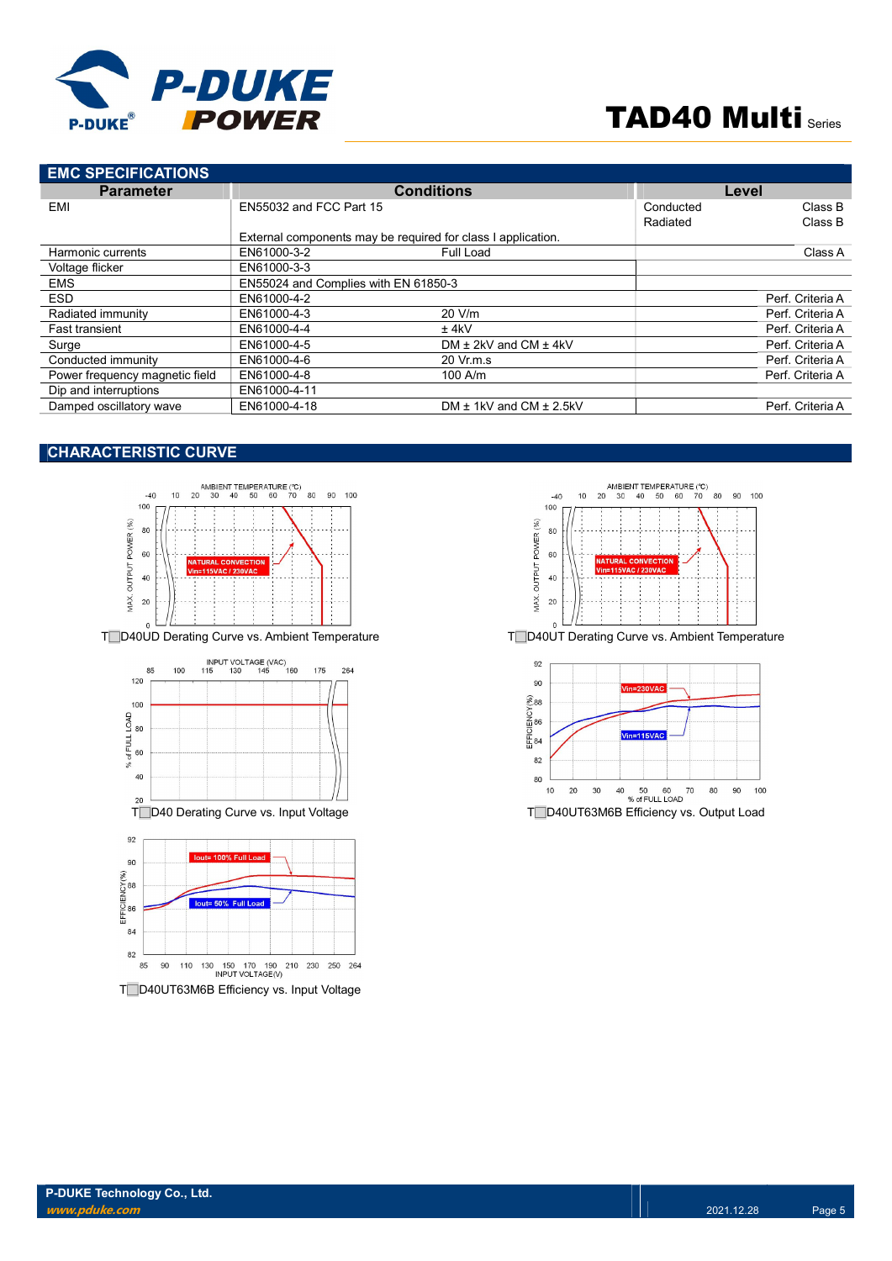

| <b>EMC SPECIFICATIONS</b>      |                                      |                                                              |           |                  |
|--------------------------------|--------------------------------------|--------------------------------------------------------------|-----------|------------------|
| <b>Parameter</b>               |                                      | <b>Conditions</b>                                            | Level     |                  |
| EMI                            | EN55032 and FCC Part 15              |                                                              | Conducted | Class B          |
|                                |                                      |                                                              | Radiated  | Class B          |
|                                |                                      | External components may be required for class I application. |           |                  |
| Harmonic currents              | EN61000-3-2                          | Full Load                                                    |           | Class A          |
| Voltage flicker                | EN61000-3-3                          |                                                              |           |                  |
| <b>EMS</b>                     | EN55024 and Complies with EN 61850-3 |                                                              |           |                  |
| <b>ESD</b>                     | EN61000-4-2                          |                                                              |           | Perf. Criteria A |
| Radiated immunity              | EN61000-4-3                          | 20 V/m                                                       |           | Perf. Criteria A |
| <b>Fast transient</b>          | EN61000-4-4                          | $±$ 4kV                                                      |           | Perf. Criteria A |
| Surge                          | EN61000-4-5                          | DM $\pm$ 2kV and CM $\pm$ 4kV                                |           | Perf. Criteria A |
| Conducted immunity             | EN61000-4-6                          | 20 Vr.m.s                                                    |           | Perf. Criteria A |
| Power frequency magnetic field | EN61000-4-8                          | $100$ A/m                                                    |           | Perf. Criteria A |
| Dip and interruptions          | EN61000-4-11                         |                                                              |           |                  |
| Damped oscillatory wave        | EN61000-4-18                         | DM $\pm$ 1kV and CM $\pm$ 2.5kV                              |           | Perf. Criteria A |

### CHARACTERISTIC CURVE



T□D40UD Derating Curve vs. Ambient Temperature T□D40UT Derating Curve vs. Ambient Temperature





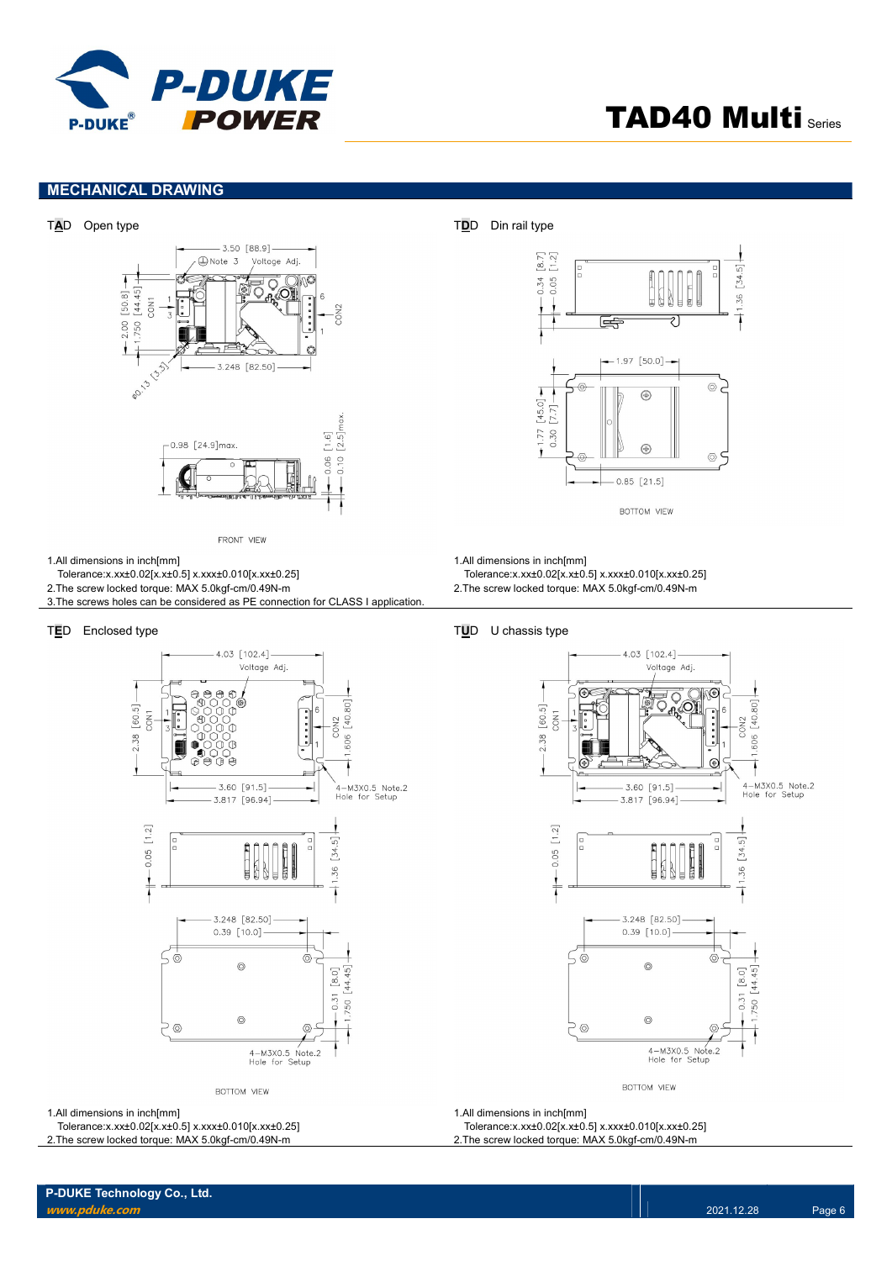

### MECHANICAL DRAWING



FRONT VIEW

- 1.All dimensions in inch[mm]
- Tolerance:x.xx±0.02[x.x±0.5] x.xxx±0.010[x.xx±0.25]
- 2.The screw locked torque: MAX 5.0kgf-cm/0.49N-m
- 3.The screws holes can be considered as PE connection for CLASS I application.



BOTTOM VIEW

1.All dimensions in inch[mm]

Tolerance:x.xx±0.02[x.x±0.5] x.xxx±0.010[x.xx±0.25]

2.The screw locked torque: MAX 5.0kgf-cm/0.49N-m



1.All dimensions in inch[mm]

- Tolerance:x.xx±0.02[x.x±0.5] x.xxx±0.010[x.xx±0.25]
- 2.The screw locked torque: MAX 5.0kgf-cm/0.49N-m

#### TED Enclosed type TED Enclosed type



BOTTOM VIEW

1.All dimensions in inch[mm]

Tolerance:x.xx±0.02[x.x±0.5] x.xxx±0.010[x.xx±0.25]

2.The screw locked torque: MAX 5.0kgf-cm/0.49N-m